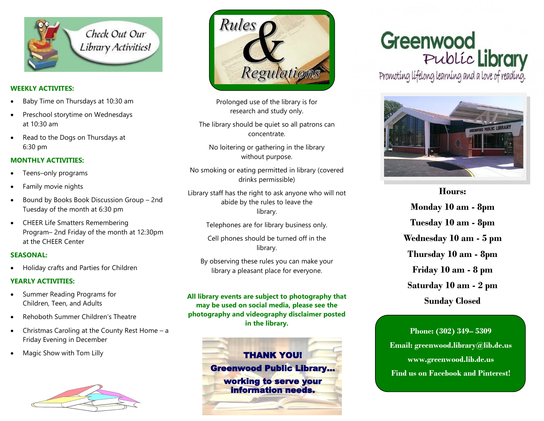

#### **WEEKLY ACTIVITES:**

- Baby Time on Thursdays at 10:30 am
- Preschool storytime on Wednesdays at 10:30 am
- Read to the Dogs on Thursdays at 6:30 pm

#### **MONTHLY ACTIVITIES:**

- Teens–only programs
- Family movie nights
- Bound by Books Book Discussion Group 2nd Tuesday of the month at 6:30 pm
- CHEER Life Smatters Remembering Program– 2nd Friday of the month at 12:30pm at the CHEER Center

#### **SEASONAL:**

Holiday crafts and Parties for Children

#### **YEARLY ACTIVITIES:**

- Summer Reading Programs for Children, Teen, and Adults
- Rehoboth Summer Children's Theatre
- Christmas Caroling at the County Rest Home a Friday Evening in December
- 





Prolonged use of the library is for research and study only.

The library should be quiet so all patrons can concentrate.

No loitering or gathering in the library without purpose.

No smoking or eating permitted in library (covered drinks permissible)

Library staff has the right to ask anyone who will not abide by the rules to leave the library.

Telephones are for library business only.

Cell phones should be turned off in the library.

By observing these rules you can make your library a pleasant place for everyone.

**All library events are subject to photography that may be used on social media, please see the photography and videography disclaimer posted in the library.**



# Greenwood Public Library<br>Promoting lifelong learning and a love of reading.



**Hours: Monday 10 am - 8pm Tuesday 10 am - 8pm Wednesday 10 am - 5 pm Thursday 10 am - 8pm Friday 10 am - 8 pm Saturday 10 am - 2 pm Sunday Closed**

**Phone: (302) 349– 5309 Email: greenwood.library@lib.de.us www.greenwood.lib.de.us Find us on Facebook and Pinterest!**